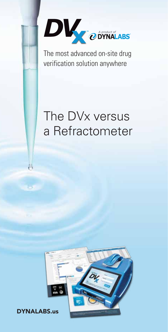

The most advanced on-site drug verification solution anywhere

# The DVx versus a Refractometer



DYNALABS.us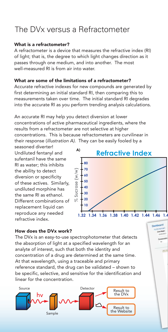## The DVx versus a Refractometer

### What is a refractometer?

A refractometer is a device that measures the refractive index (RI) of light; that is, the degree to which light changes direction as it passes through one medium, and into another. The most well-measured RI is from air into water.

### What are some of the limitations of a refractometer?

Accurate refractive indexes for new compounds are generated by first determining an initial standard RI, then comparing this to measurements taken over time. The initial standard RI degrades into the accurate RI as you perform trending analysis calculations.

An accurate RI may help you detect diversion at lower concentrations of active pharmaceutical ingredients, where the results from a refractometer are not selective at higher concentrations. This is because refractometers are curvilinear in their response (*illustration A)*. They can be easily fooled by a

seasoned diverter! Undiluted fentanyl and sufentanil have the same RI as water; this inhibits the ability to detect diversion or specificity of these actives. Similarly, undiluted morphine has the same RI as ethanol. Different combinations of replacement liquid can reproduce any needed refractive index.



#### How does the DVx work?

The DVx is an easy-to-use spectrophotometer that detects the absorption of light at a specified wavelength for an analyte of interest, such that both the identity and concentration of a drug are determined at the same time. At that wavelength, using a traceable and primary reference standard, the drug can be validated – shown to be specific, selective, and sensitive for the identification and linear for the concentration.

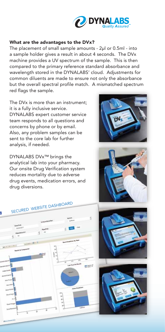

#### What are the advantages to the DVx?

The placement of small sample amounts - 2μl or 0.5ml - into a sample holder gives a result in about 4 seconds. The DVx machine provides a UV spectrum of the sample. This is then compared to the primary reference standard absorbance and wavelength stored in the DYNALABS' cloud. Adjustments for common diluents are made to ensure not only the absorbance but the overall spectral profile match. A mismatched spectrum red flags the sample.

The DVx is more than an instrument; it is a fully inclusive service. DYNALABS expert customer service team responds to all questions and concerns by phone or by email. Also, any problem samples can be sent to the core lab for further analysis, if needed.

DYNALABS DVx™ brings the analytical lab into your pharmacy. Our onsite Drug Verification system reduces mortality due to adverse drug events, medication errors, and drug diversions.